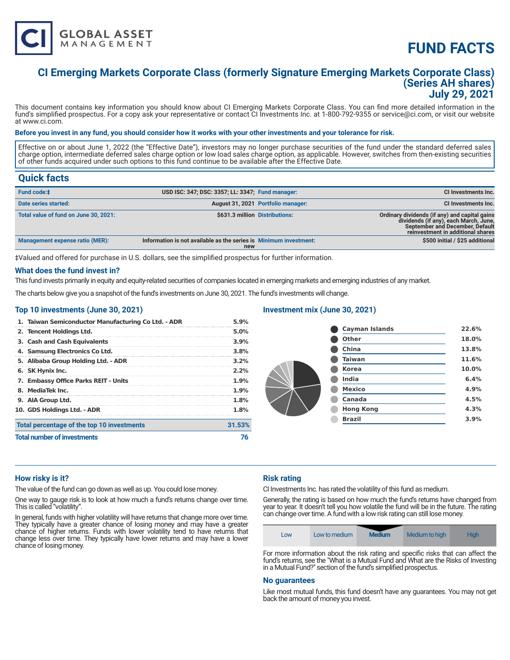

# **FUND FACTS**

# **CI Emerging Markets Corporate Class (formerly Signature Emerging Markets Corporate Class) (Series AH shares) July 29, 2021**

This document contains key information you should know about CI Emerging Markets Corporate Class. You can find more detailed information in the fund's simplified prospectus. For a copy ask your representative or contact CI Investments Inc. at 1-800-792-9355 or service@ci.com, or visit our website at www.ci.com.

# **Before you invest in any fund, you should consider how it works with your other investments and your tolerance for risk.**

Effective on or about June 1, 2022 (the "Effective Date"), investors may no longer purchase securities of the fund under the standard deferred sales charge option, intermediate deferred sales charge option or low load sales charge option, as applicable. However, switches from then-existing securities of other funds acquired under such options to this fund continue to be available after the Effective Date.

# **Quick facts**

| Fund code:#                           | USD ISC: 347; DSC: 3357; LL: 3347; Fund manager:                         |                                    | <b>CI Investments Inc.</b>                                                                                                                                     |
|---------------------------------------|--------------------------------------------------------------------------|------------------------------------|----------------------------------------------------------------------------------------------------------------------------------------------------------------|
| Date series started:                  |                                                                          | August 31, 2021 Portfolio manager: | <b>CI Investments Inc.</b>                                                                                                                                     |
| Total value of fund on June 30, 2021: | \$631.3 million Distributions:                                           |                                    | Ordinary dividends (if any) and capital gains<br>dividends (if any), each March, June,<br>September and December, Default<br>reinvestment in additional shares |
| Management expense ratio (MER):       | Information is not available as the series is Minimum investment:<br>new |                                    | \$500 initial / \$25 additional                                                                                                                                |

‡Valued and offered for purchase in U.S. dollars, see the simplified prospectus for further information.

# **What does the fund invest in?**

This fund invests primarily in equity and equity-related securities of companies located in emerging markets and emerging industries of any market.

The charts below give you a snapshot of the fund's investments on June 30, 2021. The fund's investments will change.

# **Top 10 investments (June 30, 2021)**

| 1. Taiwan Semiconductor Manufacturing Co Ltd. - ADR | 5.9%    |
|-----------------------------------------------------|---------|
| 2. Tencent Holdings Ltd.                            | 5.0%    |
| 3. Cash and Cash Equivalents                        | 3.9%    |
| 4. Samsung Electronics Co Ltd.                      | 3.8%    |
| 5. Alibaba Group Holding Ltd. - ADR                 | $3.2\%$ |
| 6. SK Hynix Inc.                                    | 2.2%    |
| 7. Embassy Office Parks REIT - Units                | 1.9%    |
| 8. MediaTek Inc.                                    | 1.9%    |
| 9. AIA Group Ltd.                                   | 1.8%    |
| 10. GDS Holdings Ltd. - ADR                         | 1.8%    |
| Total percentage of the top 10 investments          | 31.53%  |
| <b>Total number of investments</b>                  |         |

#### **Investment mix (June 30, 2021)**

| <b>Cayman Islands</b> | 22.6% |
|-----------------------|-------|
| <b>Other</b>          | 18.0% |
| China                 | 13.8% |
| <b>Taiwan</b>         | 11.6% |
| <b>Korea</b>          | 10.0% |
| <b>India</b>          | 6.4%  |
| <b>Mexico</b>         | 4.9%  |
| Canada                | 4.5%  |
| <b>Hong Kong</b>      | 4.3%  |
| <b>Brazil</b>         | 3.9%  |
|                       |       |

# **How risky is it?**

The value of the fund can go down as well as up. You could lose money.

One way to gauge risk is to look at how much a fund's returns change over time. This is called "volatility".

In general, funds with higher volatility will have returns that change more over time. They typically have a greater chance of losing money and may have a greater chance of higher returns. Funds with lower volatility tend to have returns that change less over time. They typically have lower returns and may have a lower chance of losing money.

# **Risk rating**

CI Investments Inc. has rated the volatility of this fund as medium.

Generally, the rating is based on how much the fund's returns have changed from year to year. It doesn't tell you how volatile the fund will be in the future. The rating can change over time. A fund with a low risk rating can still lose money.

| <b>Medium</b><br><b>High</b><br>Medium to high<br>Low to medium<br>Low |  |
|------------------------------------------------------------------------|--|
|------------------------------------------------------------------------|--|

For more information about the risk rating and specific risks that can affect the fund's returns, see the "What is a Mutual Fund and What are the Risks of Investing in a Mutual Fund?" section of the fund's simplified prospectus.

# **No guarantees**

Like most mutual funds, this fund doesn't have any guarantees. You may not get back the amount of money you invest.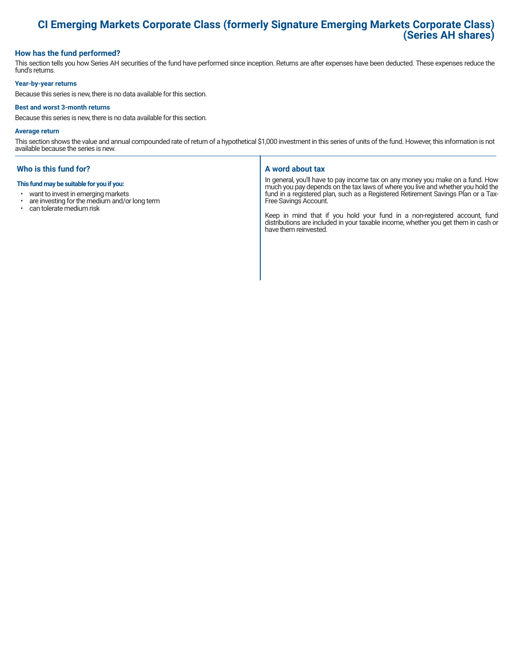# **CI Emerging Markets Corporate Class (formerly Signature Emerging Markets Corporate Class) (Series AH shares)**

# **How has the fund performed?**

This section tells you how Series AH securities of the fund have performed since inception. Returns are after expenses have been deducted. These expenses reduce the fund's returns.

# **Year-by-year returns**

Because this series is new, there is no data available for this section.

#### **Best and worst 3-month returns**

Because this series is new, there is no data available for this section.

#### **Average return**

This section shows the value and annual compounded rate of return of a hypothetical \$1,000 investment in this series of units of the fund. However, this information is not available because the series is new.

# **Who is this fund for?**

#### **This fund may be suitable for you if you:**

- want to invest in emerging markets
- are investing for the medium and/or long term<br>• can tolerate medium risk
- can tolerate medium risk

# **A word about tax**

In general, you'll have to pay income tax on any money you make on a fund. How much you pay depends on the tax laws of where you live and whether you hold the fund in a registered plan, such as a Registered Retirement Savings Plan or a Tax-Free Savings Account.

Keep in mind that if you hold your fund in a non-registered account, fund distributions are included in your taxable income, whether you get them in cash or have them reinvested.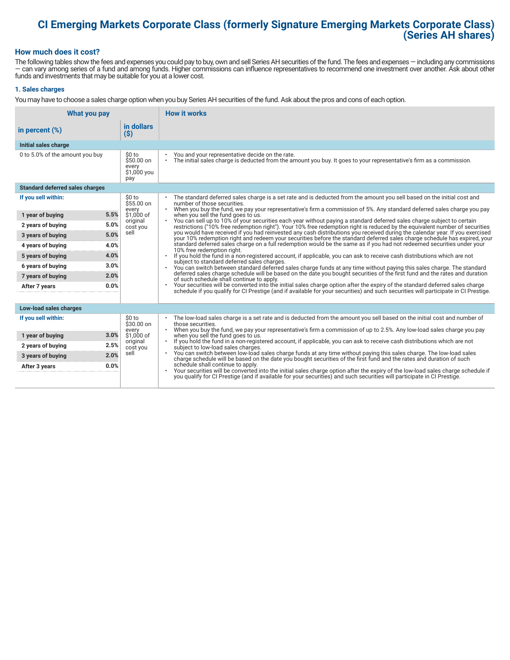# **CI Emerging Markets Corporate Class (formerly Signature Emerging Markets Corporate Class) (Series AH shares)**

# **How much does it cost?**

The following tables show the fees and expenses you could pay to buy, own and sell Series AH securities of the fund. The fees and expenses — including any commissions — can vary among series of a fund and among funds. Higher commissions can influence representatives to recommend one investment over another. Ask about other funds and investments that may be suitable for you at a lower cost.

# **1. Sales charges**

You may have to choose a sales charge option when you buy Series AH securities of the fund. Ask about the pros and cons of each option.

| What you pay                           |                                                      | <b>How it works</b>                                                                                                                                                                                                                                                  |  |
|----------------------------------------|------------------------------------------------------|----------------------------------------------------------------------------------------------------------------------------------------------------------------------------------------------------------------------------------------------------------------------|--|
| in percent $(\%)$                      | in dollars<br>$($ \$)                                |                                                                                                                                                                                                                                                                      |  |
| Initial sales charge                   |                                                      |                                                                                                                                                                                                                                                                      |  |
| 0 to 5.0% of the amount you buy        | \$0 to<br>$$50.00$ on<br>every<br>\$1,000 you<br>pay | You and your representative decide on the rate.<br>٠<br>The initial sales charge is deducted from the amount you buy. It goes to your representative's firm as a commission.<br>$\bullet$                                                                            |  |
| <b>Standard deferred sales charges</b> |                                                      |                                                                                                                                                                                                                                                                      |  |
| If you sell within:                    | \$0 to<br>\$55.00 on                                 | The standard deferred sales charge is a set rate and is deducted from the amount you sell based on the initial cost and<br>number of those securities.                                                                                                               |  |
| 5.5%<br>1 year of buying               | every<br>\$1,000 of                                  | . When you buy the fund, we pay your representative's firm a commission of 5%. Any standard deferred sales charge you pay<br>when you sell the fund goes to us.                                                                                                      |  |
| 5.0%<br>2 years of buying              | original<br>cost you                                 | You can sell up to 10% of your securities each year without paying a standard deferred sales charge subject to certain<br>restrictions ("10% free redemption right"). Your 10% free redemption right is reduced by the equivalent number of securities               |  |
| 5.0%<br>3 years of buying              | sell                                                 | you would have received if you had reinvested any cash distributions you received during the calendar year. If you exercised<br>your 10% redemption right and redeem your securities before the standard deferred sales charge schedule has expired, your            |  |
| 4.0%<br>4 years of buying              |                                                      | standard deferred sales charge on a full redemption would be the same as if you had not redeemed securities under your<br>10% free redemption right.                                                                                                                 |  |
| 4.0%<br>5 years of buying              |                                                      | If you hold the fund in a non-registered account, if applicable, you can ask to receive cash distributions which are not<br>subject to standard deferred sales charges.                                                                                              |  |
| 3.0%<br>6 years of buying              |                                                      | You can switch between standard deferred sales charge funds at any time without paying this sales charge. The standard                                                                                                                                               |  |
| 2.0%<br>7 years of buying              |                                                      | deferred sales charge schedule will be based on the date you bought securities of the first fund and the rates and duration<br>of such schedule shall continue to apply.                                                                                             |  |
| 0.0%<br>After 7 years                  |                                                      | Your securities will be converted into the initial sales charge option after the expiry of the standard deferred sales charge<br>schedule if you qualify for CI Prestige (and if available for your securities) and such securities will participate in CI Prestige. |  |
|                                        |                                                      |                                                                                                                                                                                                                                                                      |  |
| Low-load sales charges                 |                                                      |                                                                                                                                                                                                                                                                      |  |
| If you sell within:                    | \$0 to<br>\$30.00 on                                 | The low-load sales charge is a set rate and is deducted from the amount you sell based on the initial cost and number of<br>$\bullet$<br>those securities.                                                                                                           |  |
| 3.0%<br>1 year of buying               | every<br>\$1,000 of                                  | When you buy the fund, we pay your representative's firm a commission of up to 2.5%. Any low-load sales charge you pay<br>when you sell the fund goes to us.                                                                                                         |  |
| 2.5%<br>2 years of buying              | original<br>cost you                                 | If you hold the fund in a non-registered account, if applicable, you can ask to receive cash distributions which are not<br>subject to low-load sales charges.                                                                                                       |  |
| 2.0%<br>3 years of buying              | sell                                                 | You can switch between low-load sales charge funds at any time without paying this sales charge. The low-load sales<br>charge schedule will be based on the date you bought securities of the first fund and the rates and duration of such                          |  |
| 0.0%<br>After 3 years                  |                                                      | schedule shall continue to apply.<br>Your securities will be converted into the initial sales charge option after the expiry of the low-load sales charge schedule if                                                                                                |  |
|                                        |                                                      | you qualify for CI Prestige (and if available for your securities) and such securities will participate in CI Prestige.                                                                                                                                              |  |